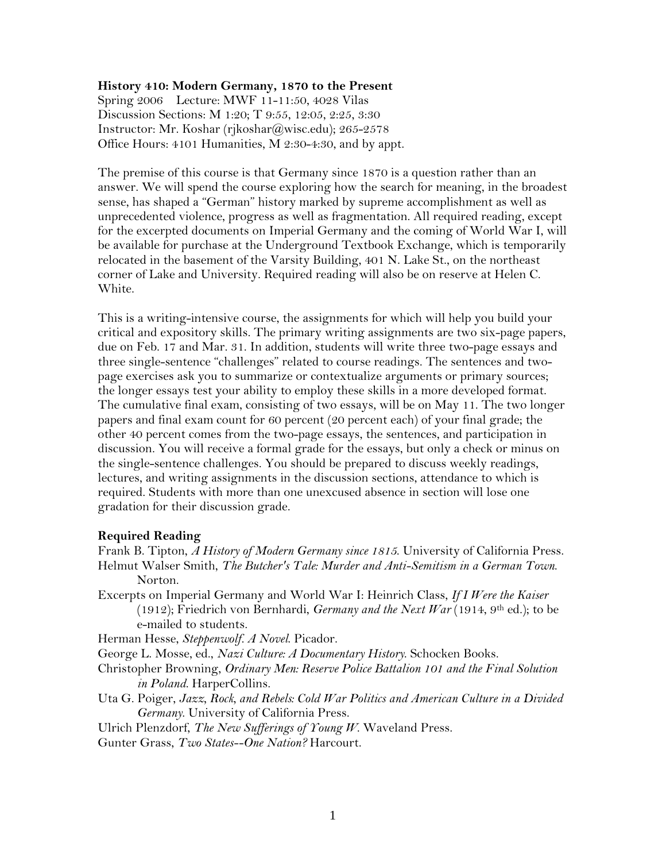### **History 410: Modern Germany, 1870 to the Present**

Spring 2006 Lecture: MWF 11-11:50, 4028 Vilas Discussion Sections: M 1:20; T 9:55, 12:05, 2:25, 3:30 Instructor: Mr. Koshar (rjkoshar@wisc.edu); 265-2578 Office Hours: 4101 Humanities, M 2:30-4:30, and by appt.

The premise of this course is that Germany since 1870 is a question rather than an answer. We will spend the course exploring how the search for meaning, in the broadest sense, has shaped a "German" history marked by supreme accomplishment as well as unprecedented violence, progress as well as fragmentation. All required reading, except for the excerpted documents on Imperial Germany and the coming of World War I, will be available for purchase at the Underground Textbook Exchange, which is temporarily relocated in the basement of the Varsity Building, 401 N. Lake St., on the northeast corner of Lake and University. Required reading will also be on reserve at Helen C. White.

This is a writing-intensive course, the assignments for which will help you build your critical and expository skills. The primary writing assignments are two six-page papers, due on Feb. 17 and Mar. 31. In addition, students will write three two-page essays and three single-sentence "challenges" related to course readings. The sentences and twopage exercises ask you to summarize or contextualize arguments or primary sources; the longer essays test your ability to employ these skills in a more developed format. The cumulative final exam, consisting of two essays, will be on May 11. The two longer papers and final exam count for 60 percent (20 percent each) of your final grade; the other 40 percent comes from the two-page essays, the sentences, and participation in discussion. You will receive a formal grade for the essays, but only a check or minus on the single-sentence challenges. You should be prepared to discuss weekly readings, lectures, and writing assignments in the discussion sections, attendance to which is required. Students with more than one unexcused absence in section will lose one gradation for their discussion grade.

#### **Required Reading**

Frank B. Tipton, *A History of Modern Germany since 1815*. University of California Press. Helmut Walser Smith, *The Butcher's Tale: Murder and Anti-Semitism in a German Town*. Norton.

Excerpts on Imperial Germany and World War I: Heinrich Class, *If I Were the Kaiser* (1912); Friedrich von Bernhardi, *Germany and the Next War* (1914, 9th ed.); to be e-mailed to students.

Herman Hesse, *Steppenwolf. A Novel*. Picador.

George L. Mosse, ed., *Nazi Culture: A Documentary History*. Schocken Books.

- Christopher Browning, *Ordinary Men: Reserve Police Battalion 101 and the Final Solution in Poland*. HarperCollins.
- Uta G. Poiger, *Jazz, Rock, and Rebels: Cold War Politics and American Culture in a Divided Germany*. University of California Press.

Ulrich Plenzdorf, *The New Sufferings of Young W*. Waveland Press.

Gunter Grass, *Two States--One Nation?* Harcourt.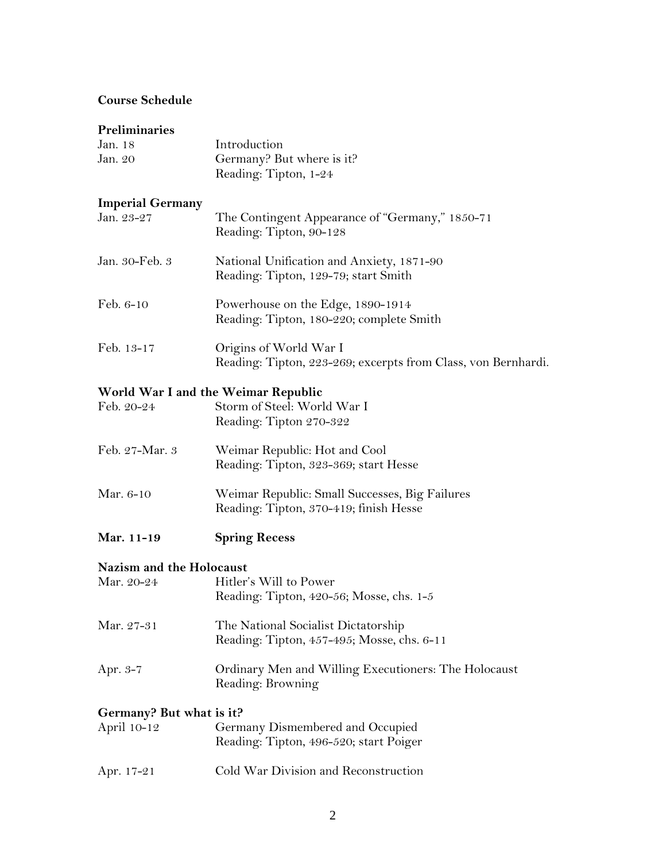# **Course Schedule**

# **Preliminaries**

| Jan. 18                  | Introduction                                                                      |
|--------------------------|-----------------------------------------------------------------------------------|
| Jan. 20                  | Germany? But where is it?                                                         |
|                          | Reading: Tipton, 1-24                                                             |
| <b>Imperial Germany</b>  |                                                                                   |
| Jan. 23-27               | The Contingent Appearance of "Germany," 1850-71                                   |
|                          | Reading: Tipton, 90-128                                                           |
|                          |                                                                                   |
| Jan. 30-Feb. 3           | National Unification and Anxiety, 1871-90<br>Reading: Tipton, 129-79; start Smith |
|                          |                                                                                   |
| Feb. 6-10                | Powerhouse on the Edge, 1890-1914                                                 |
|                          | Reading: Tipton, 180-220; complete Smith                                          |
| Feb. 13-17               | Origins of World War I                                                            |
|                          | Reading: Tipton, 223-269; excerpts from Class, von Bernhardi.                     |
|                          |                                                                                   |
|                          | World War I and the Weimar Republic                                               |
| Feb. 20-24               | Storm of Steel: World War I                                                       |
|                          | Reading: Tipton 270-322                                                           |
| Feb. 27-Mar. 3           | Weimar Republic: Hot and Cool                                                     |
|                          | Reading: Tipton, 323-369; start Hesse                                             |
| Mar. 6-10                | Weimar Republic: Small Successes, Big Failures                                    |
|                          | Reading: Tipton, 370-419; finish Hesse                                            |
|                          |                                                                                   |
| Mar. 11-19               | <b>Spring Recess</b>                                                              |
| Nazism and the Holocaust |                                                                                   |
| Mar. 20-24               | Hitler's Will to Power                                                            |
|                          | Reading: Tipton, 420-56; Mosse, chs. 1-5                                          |
|                          |                                                                                   |
| Mar. 27-31               | The National Socialist Dictatorship                                               |
|                          | Reading: Tipton, 457-495; Mosse, chs. 6-11                                        |
| Apr. 3-7                 | Ordinary Men and Willing Executioners: The Holocaust                              |
|                          | Reading: Browning                                                                 |
| Germany? But what is it? |                                                                                   |
| April 10-12              | Germany Dismembered and Occupied                                                  |
|                          | Reading: Tipton, 496-520; start Poiger                                            |
|                          |                                                                                   |
| Apr. 17-21               | Cold War Division and Reconstruction                                              |